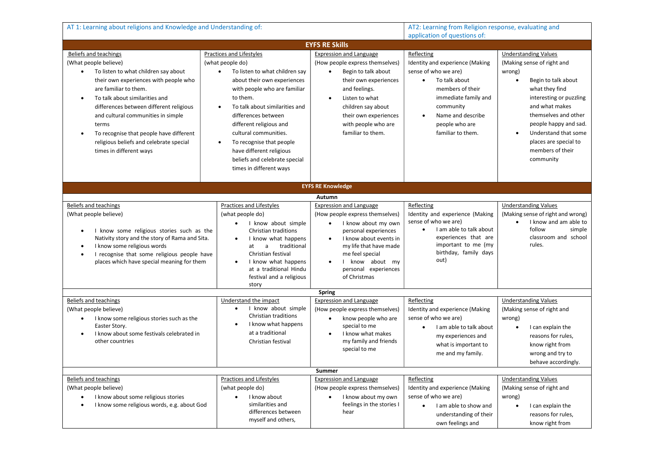| AT 1: Learning about religions and Knowledge and Understanding of:                                                                                                                                                                                                                                                                                                                                                              |                                                                                                                                                                                                                                                                                                                                                                                                                      |                                                                                                                                                                                                                                                    | AT2: Learning from Religion response, evaluating and<br>application of questions of:                                                                                                                                                  |                                                                                                                                                                                                                                                                                                                        |  |  |  |
|---------------------------------------------------------------------------------------------------------------------------------------------------------------------------------------------------------------------------------------------------------------------------------------------------------------------------------------------------------------------------------------------------------------------------------|----------------------------------------------------------------------------------------------------------------------------------------------------------------------------------------------------------------------------------------------------------------------------------------------------------------------------------------------------------------------------------------------------------------------|----------------------------------------------------------------------------------------------------------------------------------------------------------------------------------------------------------------------------------------------------|---------------------------------------------------------------------------------------------------------------------------------------------------------------------------------------------------------------------------------------|------------------------------------------------------------------------------------------------------------------------------------------------------------------------------------------------------------------------------------------------------------------------------------------------------------------------|--|--|--|
| <b>EYFS RE Skills</b>                                                                                                                                                                                                                                                                                                                                                                                                           |                                                                                                                                                                                                                                                                                                                                                                                                                      |                                                                                                                                                                                                                                                    |                                                                                                                                                                                                                                       |                                                                                                                                                                                                                                                                                                                        |  |  |  |
| Beliefs and teachings<br>(What people believe)<br>To listen to what children say about<br>$\bullet$<br>their own experiences with people who<br>are familiar to them.<br>To talk about similarities and<br>differences between different religious<br>and cultural communities in simple<br>terms<br>To recognise that people have different<br>$\bullet$<br>religious beliefs and celebrate special<br>times in different ways | Practices and Lifestyles<br>(what people do)<br>To listen to what children say<br>$\bullet$<br>about their own experiences<br>with people who are familiar<br>to them.<br>To talk about similarities and<br>differences between<br>different religious and<br>cultural communities.<br>To recognise that people<br>$\bullet$<br>have different religious<br>beliefs and celebrate special<br>times in different ways | <b>Expression and Language</b><br>(How people express themselves)<br>Begin to talk about<br>their own experiences<br>and feelings.<br>Listen to what<br>children say about<br>their own experiences<br>with people who are<br>familiar to them.    | Reflecting<br>Identity and experience (Making<br>sense of who we are)<br>To talk about<br>$\bullet$<br>members of their<br>immediate family and<br>community<br>Name and describe<br>$\bullet$<br>people who are<br>familiar to them. | <b>Understanding Values</b><br>(Making sense of right and<br>wrong)<br>Begin to talk about<br>$\bullet$<br>what they find<br>interesting or puzzling<br>and what makes<br>themselves and other<br>people happy and sad.<br>Understand that some<br>$\bullet$<br>places are special to<br>members of their<br>community |  |  |  |
|                                                                                                                                                                                                                                                                                                                                                                                                                                 |                                                                                                                                                                                                                                                                                                                                                                                                                      | <b>EYFS RE Knowledge</b>                                                                                                                                                                                                                           |                                                                                                                                                                                                                                       |                                                                                                                                                                                                                                                                                                                        |  |  |  |
| Autumn                                                                                                                                                                                                                                                                                                                                                                                                                          |                                                                                                                                                                                                                                                                                                                                                                                                                      |                                                                                                                                                                                                                                                    |                                                                                                                                                                                                                                       |                                                                                                                                                                                                                                                                                                                        |  |  |  |
| <b>Beliefs and teachings</b><br>(What people believe)<br>I know some religious stories such as the<br>$\bullet$<br>Nativity story and the story of Rama and Sita.<br>I know some religious words<br>I recognise that some religious people have<br>$\bullet$<br>places which have special meaning for them                                                                                                                      | <b>Practices and Lifestyles</b><br>(what people do)<br>I know about simple<br>Christian traditions<br>I know what happens<br>traditional<br>$\mathsf{a}$<br>at<br>Christian festival<br>I know what happens<br>$\bullet$<br>at a traditional Hindu<br>festival and a religious<br>story                                                                                                                              | <b>Expression and Language</b><br>(How people express themselves)<br>I know about my own<br>personal experiences<br>I know about events in<br>my life that have made<br>me feel special<br>I know about my<br>personal experiences<br>of Christmas | Reflecting<br>Identity and experience (Making<br>sense of who we are)<br>I am able to talk about<br>$\bullet$<br>experiences that are<br>important to me (my<br>birthday, family days<br>out)                                         | <b>Understanding Values</b><br>(Making sense of right and wrong)<br>I know and am able to<br>$\bullet$<br>follow<br>simple<br>classroom and school<br>rules.                                                                                                                                                           |  |  |  |
| Beliefs and teachings<br>(What people believe)<br>I know some religious stories such as the<br>$\bullet$<br>Easter Story.<br>I know about some festivals celebrated in<br>$\bullet$<br>other countries                                                                                                                                                                                                                          | Understand the impact<br>I know about simple<br>Christian traditions<br>I know what happens<br>$\bullet$<br>at a traditional<br>Christian festival                                                                                                                                                                                                                                                                   | <b>Spring</b><br><b>Expression and Language</b><br>(How people express themselves)<br>know people who are<br>special to me<br>I know what makes<br>my family and friends<br>special to me                                                          | Reflecting<br>Identity and experience (Making<br>sense of who we are)<br>I am able to talk about<br>my experiences and<br>what is important to<br>me and my family.                                                                   | <b>Understanding Values</b><br>(Making sense of right and<br>wrong)<br>I can explain the<br>reasons for rules,<br>know right from<br>wrong and try to<br>behave accordingly.                                                                                                                                           |  |  |  |
| Summer<br>Practices and Lifestyles<br><b>Expression and Language</b><br><b>Understanding Values</b><br>Beliefs and teachings<br>Reflecting                                                                                                                                                                                                                                                                                      |                                                                                                                                                                                                                                                                                                                                                                                                                      |                                                                                                                                                                                                                                                    |                                                                                                                                                                                                                                       |                                                                                                                                                                                                                                                                                                                        |  |  |  |
| (What people believe)<br>I know about some religious stories<br>I know some religious words, e.g. about God<br>$\bullet$                                                                                                                                                                                                                                                                                                        | (what people do)<br>I know about<br>$\bullet$<br>similarities and<br>differences between<br>myself and others,                                                                                                                                                                                                                                                                                                       | (How people express themselves)<br>I know about my own<br>feelings in the stories I<br>hear                                                                                                                                                        | Identity and experience (Making<br>sense of who we are)<br>I am able to show and<br>$\bullet$<br>understanding of their<br>own feelings and                                                                                           | (Making sense of right and<br>wrong)<br>I can explain the<br>$\bullet$<br>reasons for rules,<br>know right from                                                                                                                                                                                                        |  |  |  |